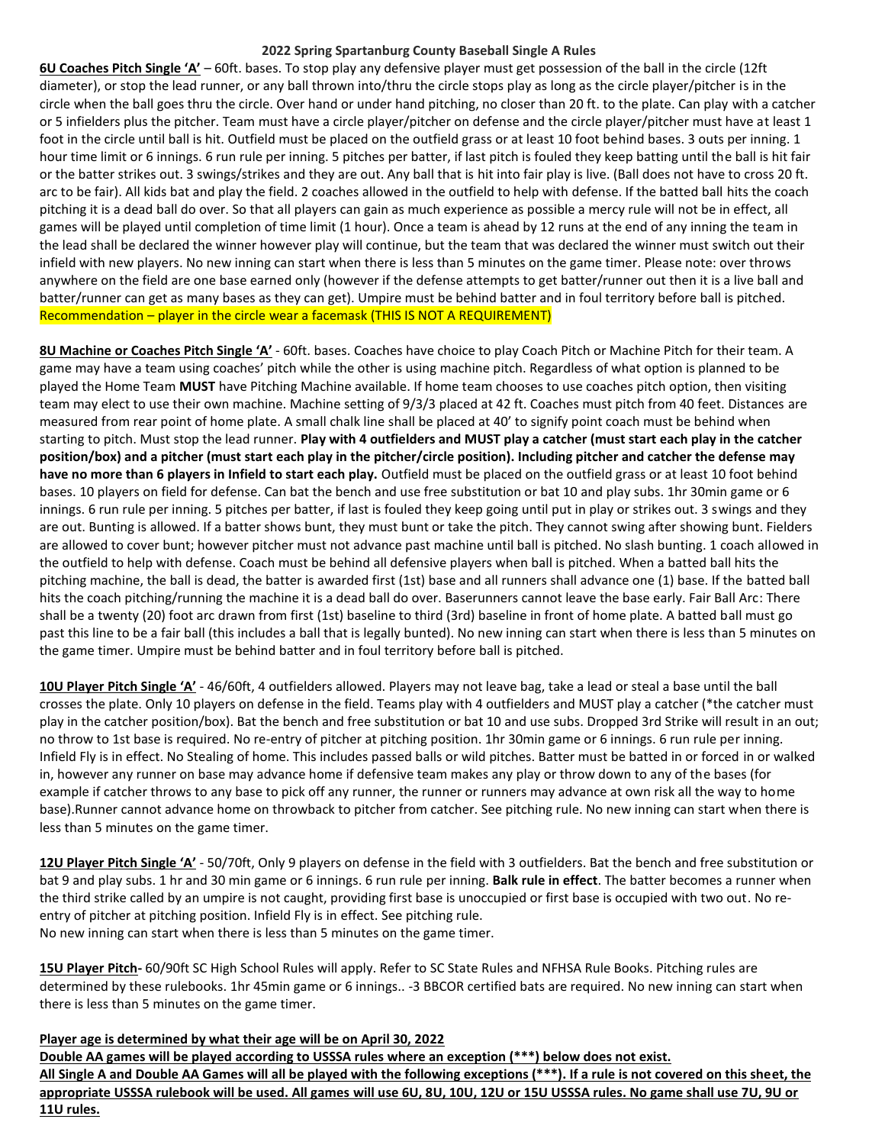## **2022 Spring Spartanburg County Baseball Single A Rules**

**6U Coaches Pitch Single 'A'** – 60ft. bases. To stop play any defensive player must get possession of the ball in the circle (12ft diameter), or stop the lead runner, or any ball thrown into/thru the circle stops play as long as the circle player/pitcher is in the circle when the ball goes thru the circle. Over hand or under hand pitching, no closer than 20 ft. to the plate. Can play with a catcher or 5 infielders plus the pitcher. Team must have a circle player/pitcher on defense and the circle player/pitcher must have at least 1 foot in the circle until ball is hit. Outfield must be placed on the outfield grass or at least 10 foot behind bases. 3 outs per inning. 1 hour time limit or 6 innings. 6 run rule per inning. 5 pitches per batter, if last pitch is fouled they keep batting until the ball is hit fair or the batter strikes out. 3 swings/strikes and they are out. Any ball that is hit into fair play is live. (Ball does not have to cross 20 ft. arc to be fair). All kids bat and play the field. 2 coaches allowed in the outfield to help with defense. If the batted ball hits the coach pitching it is a dead ball do over. So that all players can gain as much experience as possible a mercy rule will not be in effect, all games will be played until completion of time limit (1 hour). Once a team is ahead by 12 runs at the end of any inning the team in the lead shall be declared the winner however play will continue, but the team that was declared the winner must switch out their infield with new players. No new inning can start when there is less than 5 minutes on the game timer. Please note: over throws anywhere on the field are one base earned only (however if the defense attempts to get batter/runner out then it is a live ball and batter/runner can get as many bases as they can get). Umpire must be behind batter and in foul territory before ball is pitched. Recommendation – player in the circle wear a facemask (THIS IS NOT A REQUIREMENT)

**8U Machine or Coaches Pitch Single 'A'** - 60ft. bases. Coaches have choice to play Coach Pitch or Machine Pitch for their team. A game may have a team using coaches' pitch while the other is using machine pitch. Regardless of what option is planned to be played the Home Team **MUST** have Pitching Machine available. If home team chooses to use coaches pitch option, then visiting team may elect to use their own machine. Machine setting of 9/3/3 placed at 42 ft. Coaches must pitch from 40 feet. Distances are measured from rear point of home plate. A small chalk line shall be placed at 40' to signify point coach must be behind when starting to pitch. Must stop the lead runner. **Play with 4 outfielders and MUST play a catcher (must start each play in the catcher position/box) and a pitcher (must start each play in the pitcher/circle position). Including pitcher and catcher the defense may have no more than 6 players in Infield to start each play.** Outfield must be placed on the outfield grass or at least 10 foot behind bases. 10 players on field for defense. Can bat the bench and use free substitution or bat 10 and play subs. 1hr 30min game or 6 innings. 6 run rule per inning. 5 pitches per batter, if last is fouled they keep going until put in play or strikes out. 3 swings and they are out. Bunting is allowed. If a batter shows bunt, they must bunt or take the pitch. They cannot swing after showing bunt. Fielders are allowed to cover bunt; however pitcher must not advance past machine until ball is pitched. No slash bunting. 1 coach allowed in the outfield to help with defense. Coach must be behind all defensive players when ball is pitched. When a batted ball hits the pitching machine, the ball is dead, the batter is awarded first (1st) base and all runners shall advance one (1) base. If the batted ball hits the coach pitching/running the machine it is a dead ball do over. Baserunners cannot leave the base early. Fair Ball Arc: There shall be a twenty (20) foot arc drawn from first (1st) baseline to third (3rd) baseline in front of home plate. A batted ball must go past this line to be a fair ball (this includes a ball that is legally bunted). No new inning can start when there is less than 5 minutes on the game timer. Umpire must be behind batter and in foul territory before ball is pitched.

**10U Player Pitch Single 'A'** - 46/60ft, 4 outfielders allowed. Players may not leave bag, take a lead or steal a base until the ball crosses the plate. Only 10 players on defense in the field. Teams play with 4 outfielders and MUST play a catcher (\*the catcher must play in the catcher position/box). Bat the bench and free substitution or bat 10 and use subs. Dropped 3rd Strike will result in an out; no throw to 1st base is required. No re-entry of pitcher at pitching position. 1hr 30min game or 6 innings. 6 run rule per inning. Infield Fly is in effect. No Stealing of home. This includes passed balls or wild pitches. Batter must be batted in or forced in or walked in, however any runner on base may advance home if defensive team makes any play or throw down to any of the bases (for example if catcher throws to any base to pick off any runner, the runner or runners may advance at own risk all the way to home base).Runner cannot advance home on throwback to pitcher from catcher. See pitching rule. No new inning can start when there is less than 5 minutes on the game timer.

**12U Player Pitch Single 'A'** - 50/70ft, Only 9 players on defense in the field with 3 outfielders. Bat the bench and free substitution or bat 9 and play subs. 1 hr and 30 min game or 6 innings. 6 run rule per inning. **Balk rule in effect**. The batter becomes a runner when the third strike called by an umpire is not caught, providing first base is unoccupied or first base is occupied with two out. No reentry of pitcher at pitching position. Infield Fly is in effect. See pitching rule. No new inning can start when there is less than 5 minutes on the game timer.

**15U Player Pitch-** 60/90ft SC High School Rules will apply. Refer to SC State Rules and NFHSA Rule Books. Pitching rules are determined by these rulebooks. 1hr 45min game or 6 innings.. -3 BBCOR certified bats are required. No new inning can start when there is less than 5 minutes on the game timer.

**Player age is determined by what their age will be on April 30, 2022 Double AA games will be played according to USSSA rules where an exception (\*\*\*) below does not exist. All Single A and Double AA Games will all be played with the following exceptions (\*\*\*). If a rule is not covered on this sheet, the appropriate USSSA rulebook will be used. All games will use 6U, 8U, 10U, 12U or 15U USSSA rules. No game shall use 7U, 9U or 11U rules.**